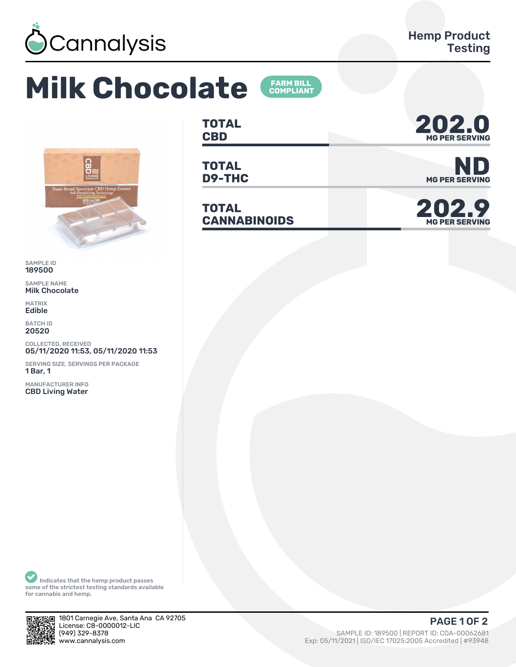

## **Milk Chocolate**





SAMPLE ID 189500

SAMPLE NAME Milk Chocolate

MATRIX Edible

BATCH ID 20520

COLLECTED, RECEIVED 05/11/2020 11:53, 05/11/2020 11:53

SERVING SIZE, SERVINGS PER PACKAGE 1 Bar, 1

MANUFACTURER INFO CBD Living Water

**TOTAL** TOTAL **202.0** 

**TOTAL**

**TOTAL CANNABINOIDS 202.9**



**D9-THC** MG PER SERVING



Indicates that the hemp product passes some of the strictest testing standards available for cannabis and hemp.



1801 Carnegie Ave, Santa Ana CA 92705 License: C8-0000012-LIC<br>(949) 329-8378 (1993) 329-8378 (1995) 529-8378 (1995) 529-8378 (1995) 529-8378 (1995) 529-8378 (1995) 529-8378 (1995) 529-8378<br>Music SAMPLE ID: 189500 | REPORT ID: COA-00062681 (1995) 529-8378 (1995) 529-837948 (1995) 529-838 (1995) 529

Exp: 05/11/2021 | ISO/IEC 17025:2005 Accredited | #93948